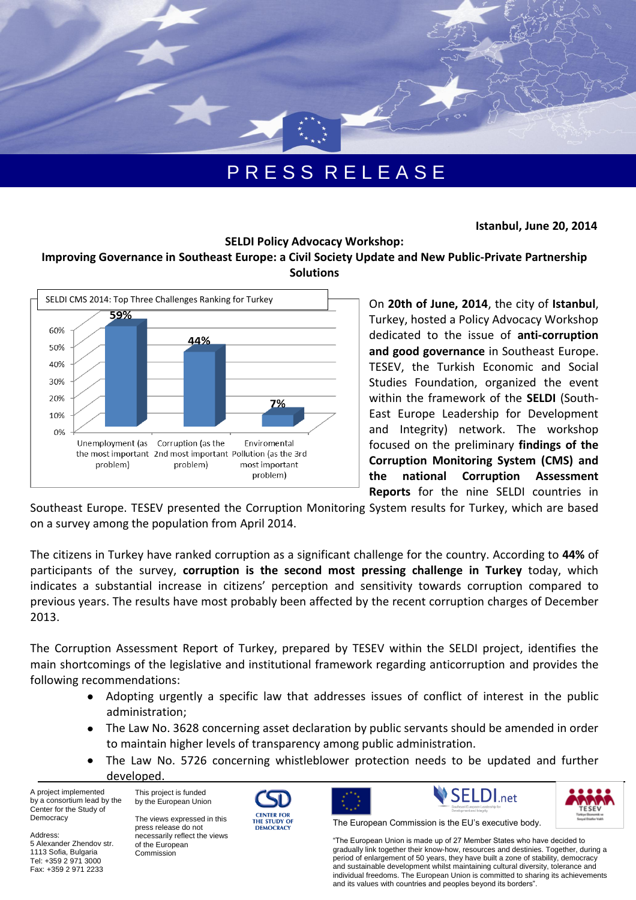

## P R E S S R E L E A S E

 **Istanbul, June 20, 2014**

## **SELDI Policy Advocacy Workshop:**

## **Improving Governance in Southeast Europe: a Civil Society Update and New Public-Private Partnership Solutions**



On **20th of June, 2014**, the city of **Istanbul**, Turkey, hosted a Policy Advocacy Workshop dedicated to the issue of **anti-corruption and good governance** in Southeast Europe. TESEV, the Turkish Economic and Social Studies Foundation, organized the event within the framework of the **SELDI** (South-East Europe Leadership for Development and Integrity) network. The workshop focused on the preliminary **findings of the Corruption Monitoring System (CMS) and the national Corruption Assessment Reports** for the nine SELDI countries in

Southeast Europe. TESEV presented the Corruption Monitoring System results for Turkey, which are based on a survey among the population from April 2014.

The citizens in Turkey have ranked corruption as a significant challenge for the country. According to **44%** of participants of the survey, **corruption is the second most pressing challenge in Turkey** today, which indicates a substantial increase in citizens' perception and sensitivity towards corruption compared to previous years. The results have most probably been affected by the recent corruption charges of December 2013.

The Corruption Assessment Report of Turkey, prepared by TESEV within the SELDI project, identifies the main shortcomings of the legislative and institutional framework regarding anticorruption and provides the following recommendations:

- Adopting urgently a specific law that addresses issues of conflict of interest in the public administration;
- The Law No. 3628 concerning asset declaration by public servants should be amended in order to maintain higher levels of transparency among public administration.
- The Law No. 5726 concerning whistleblower protection needs to be updated and further developed.

A project implemented by a consortium lead by the Center for the Study of Democracy

5 Alexander Zhendov str. 1113 Sofia, Bulgaria Tel: +359 2 971 3000 Fax: +359 2 971 2233

Address:

This project is funded by the European Union

The views expressed in this press release do not necessarily reflect the views of the European Commission









The European Commission is the EU's executive body.

"The European Union is made up of 27 Member States who have decided to gradually link together their know-how, resources and destinies. Together, during a period of enlargement of 50 years, they have built a zone of stability, democracy and sustainable development whilst maintaining cultural diversity, tolerance and individual freedoms. The European Union is committed to sharing its achievements and its values with countries and peoples beyond its borders".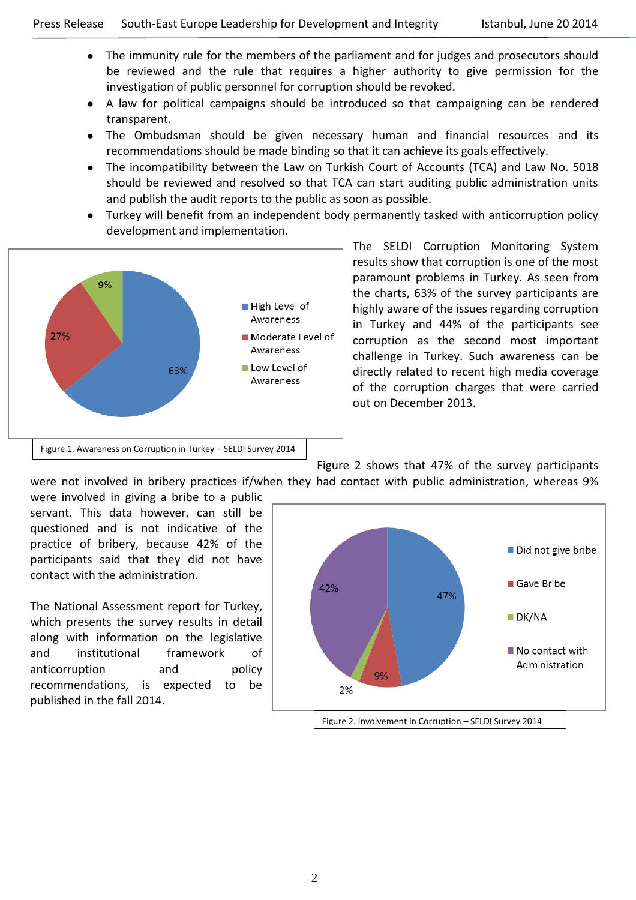- The immunity rule for the members of the parliament and for judges and prosecutors should be reviewed and the rule that requires a higher authority to give permission for the investigation of public personnel for corruption should be revoked.
- A law for political campaigns should be introduced so that campaigning can be rendered transparent.
- The Ombudsman should be given necessary human and financial resources and its recommendations should be made binding so that it can achieve its goals effectively.
- The incompatibility between the Law on Turkish Court of Accounts (TCA) and Law No. 5018 should be reviewed and resolved so that TCA can start auditing public administration units and publish the audit reports to the public as soon as possible.
- Turkey will benefit from an independent body permanently tasked with anticorruption policy development and implementation.



The SELDI Corruption Monitoring System results show that corruption is one of the most paramount problems in Turkey. As seen from the charts, 63% of the survey participants are highly aware of the issues regarding corruption in Turkey and 44% of the participants see corruption as the second most important challenge in Turkey. Such awareness can be directly related to recent high media coverage of the corruption charges that were carried out on December 2013.

Figure 2 shows that 47% of the survey participants

were not involved in bribery practices if/when they had contact with public administration, whereas 9%

were involved in giving a bribe to a public servant. This data however, can still be questioned and is not indicative of the practice of bribery, because 42% of the participants said that they did not have contact with the administration.

The National Assessment report for Turkey, which presents the survey results in detail along with information on the legislative and institutional framework of anticorruption and policy recommendations, is expected to be published in the fall 2014.